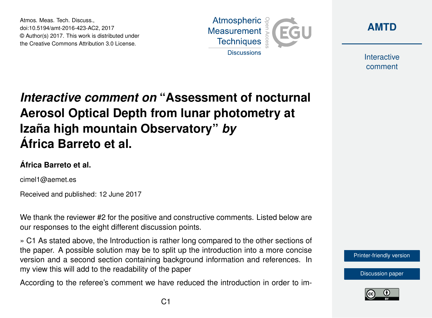Atmos. Meas. Tech. Discuss., doi:10.5194/amt-2016-423-AC2, 2017 © Author(s) 2017. This work is distributed under the Creative Commons Attribution 3.0 License.





Interactive comment

# *Interactive comment on* **"Assessment of nocturnal Aerosol Optical Depth from lunar photometry at Izaña high mountain Observatory"** *by* **África Barreto et al.**

### **África Barreto et al.**

cimel1@aemet.es

Received and published: 12 June 2017

We thank the reviewer #2 for the positive and constructive comments. Listed below are our responses to the eight different discussion points.

» C1 As stated above, the Introduction is rather long compared to the other sections of the paper. A possible solution may be to split up the introduction into a more concise version and a second section containing background information and references. In my view this will add to the readability of the paper

According to the referee's comment we have reduced the introduction in order to im-



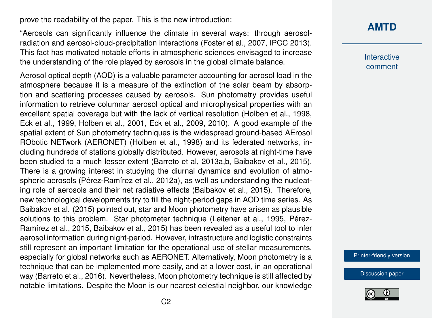prove the readability of the paper. This is the new introduction:

"Aerosols can significantly influence the climate in several ways: through aerosolradiation and aerosol-cloud-precipitation interactions (Foster et al., 2007, IPCC 2013). This fact has motivated notable efforts in atmospheric sciences envisaged to increase the understanding of the role played by aerosols in the global climate balance.

Aerosol optical depth (AOD) is a valuable parameter accounting for aerosol load in the atmosphere because it is a measure of the extinction of the solar beam by absorption and scattering processes caused by aerosols. Sun photometry provides useful information to retrieve columnar aerosol optical and microphysical properties with an excellent spatial coverage but with the lack of vertical resolution (Holben et al., 1998, Eck et al., 1999, Holben et al., 2001, Eck et al., 2009, 2010). A good example of the spatial extent of Sun photometry techniques is the widespread ground-based AErosol RObotic NETwork (AERONET) (Holben et al., 1998) and its federated networks, including hundreds of stations globally distributed. However, aerosols at night-time have been studied to a much lesser extent (Barreto et al, 2013a,b, Baibakov et al., 2015). There is a growing interest in studying the diurnal dynamics and evolution of atmospheric aerosols (Pérez-Ramírez et al., 2012a), as well as understanding the nucleating role of aerosols and their net radiative effects (Baibakov et al., 2015). Therefore, new technological developments try to fill the night-period gaps in AOD time series. As Baibakov et al. (2015) pointed out, star and Moon photometry have arisen as plausible solutions to this problem. Star photometer technique (Leitener et al., 1995, Pérez-Ramírez et al., 2015, Baibakov et al., 2015) has been revealed as a useful tool to infer aerosol information during night-period. However, infrastructure and logistic constraints still represent an important limitation for the operational use of stellar measurements, especially for global networks such as AERONET. Alternatively, Moon photometry is a technique that can be implemented more easily, and at a lower cost, in an operational way (Barreto et al., 2016). Nevertheless, Moon photometry technique is still affected by notable limitations. Despite the Moon is our nearest celestial neighbor, our knowledge

#### **[AMTD](http://www.atmos-meas-tech-discuss.net/)**

**Interactive** comment

[Printer-friendly version](http://www.atmos-meas-tech-discuss.net/amt-2016-423/amt-2016-423-AC2-print.pdf)

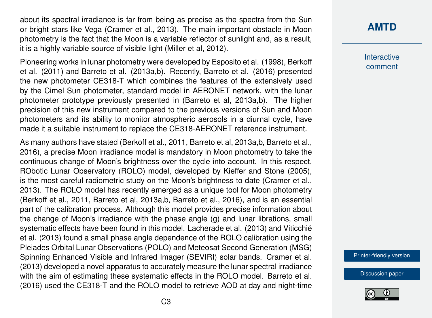about its spectral irradiance is far from being as precise as the spectra from the Sun or bright stars like Vega (Cramer et al., 2013). The main important obstacle in Moon photometry is the fact that the Moon is a variable reflector of sunlight and, as a result, it is a highly variable source of visible light (Miller et al, 2012).

Pioneering works in lunar photometry were developed by Esposito et al. (1998), Berkoff et al. (2011) and Barreto et al. (2013a,b). Recently, Barreto et al. (2016) presented the new photometer CE318-T which combines the features of the extensively used by the Cimel Sun photometer, standard model in AERONET network, with the lunar photometer prototype previously presented in (Barreto et al, 2013a,b). The higher precision of this new instrument compared to the previous versions of Sun and Moon photometers and its ability to monitor atmospheric aerosols in a diurnal cycle, have made it a suitable instrument to replace the CE318-AERONET reference instrument.

As many authors have stated (Berkoff et al., 2011, Barreto et al, 2013a,b, Barreto et al., 2016), a precise Moon irradiance model is mandatory in Moon photometry to take the continuous change of Moon's brightness over the cycle into account. In this respect, RObotic Lunar Observatory (ROLO) model, developed by Kieffer and Stone (2005), is the most careful radiometric study on the Moon's brightness to date (Cramer et al., 2013). The ROLO model has recently emerged as a unique tool for Moon photometry (Berkoff et al., 2011, Barreto et al, 2013a,b, Barreto et al., 2016), and is an essential part of the calibration process. Although this model provides precise information about the change of Moon's irradiance with the phase angle (g) and lunar librations, small systematic effects have been found in this model. Lacherade et al. (2013) and Viticchié et al. (2013) found a small phase angle dependence of the ROLO calibration using the Pleiades Orbital Lunar Observations (POLO) and Meteosat Second Generation (MSG) Spinning Enhanced Visible and Infrared Imager (SEVIRI) solar bands. Cramer et al. (2013) developed a novel apparatus to accurately measure the lunar spectral irradiance with the aim of estimating these systematic effects in the ROLO model. Barreto et al. (2016) used the CE318-T and the ROLO model to retrieve AOD at day and night-time **Interactive** comment

[Printer-friendly version](http://www.atmos-meas-tech-discuss.net/amt-2016-423/amt-2016-423-AC2-print.pdf)

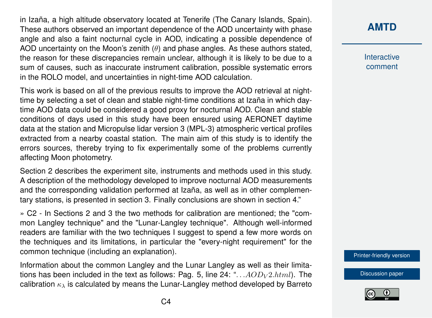in Izaña, a high altitude observatory located at Tenerife (The Canary Islands, Spain). These authors observed an important dependence of the AOD uncertainty with phase angle and also a faint nocturnal cycle in AOD, indicating a possible dependence of AOD uncertainty on the Moon's zenith  $(\theta)$  and phase angles. As these authors stated, the reason for these discrepancies remain unclear, although it is likely to be due to a sum of causes, such as inaccurate instrument calibration, possible systematic errors in the ROLO model, and uncertainties in night-time AOD calculation.

This work is based on all of the previous results to improve the AOD retrieval at nighttime by selecting a set of clean and stable night-time conditions at Izaña in which daytime AOD data could be considered a good proxy for nocturnal AOD. Clean and stable conditions of days used in this study have been ensured using AERONET daytime data at the station and Micropulse lidar version 3 (MPL-3) atmospheric vertical profiles extracted from a nearby coastal station. The main aim of this study is to identify the errors sources, thereby trying to fix experimentally some of the problems currently affecting Moon photometry.

Section 2 describes the experiment site, instruments and methods used in this study. A description of the methodology developed to improve nocturnal AOD measurements and the corresponding validation performed at Izaña, as well as in other complementary stations, is presented in section 3. Finally conclusions are shown in section 4."

» C2 - In Sections 2 and 3 the two methods for calibration are mentioned; the "common Langley technique" and the "Lunar-Langley technique". Although well-informed readers are familiar with the two techniques I suggest to spend a few more words on the techniques and its limitations, in particular the "every-night requirement" for the common technique (including an explanation).

Information about the common Langley and the Lunar Langley as well as their limitations has been included in the text as follows: Pag. 5, line 24: "... $AOD_V2.html$ . The calibration  $\kappa_{\lambda}$  is calculated by means the Lunar-Langley method developed by Barreto

# **[AMTD](http://www.atmos-meas-tech-discuss.net/)**

Interactive comment

[Printer-friendly version](http://www.atmos-meas-tech-discuss.net/amt-2016-423/amt-2016-423-AC2-print.pdf)

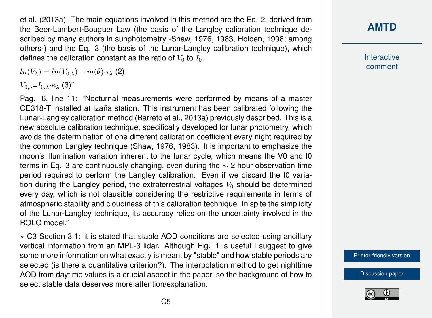et al. (2013a). The main equations involved in this method are the Eq. 2, derived from the Beer-Lambert-Bouguer Law (the basis of the Langley calibration technique described by many authors in sunphotometry -Shaw, 1976, 1983, Holben, 1998; among others-) and the Eq. 3 (the basis of the Lunar-Langley calibration technique), which defines the calibration constant as the ratio of  $V_0$  to  $I_0$ .

 $ln(V_\lambda) = ln(V_{0,\lambda}) - m(\theta) \cdot \tau_\lambda$  (2)

 $V_{0,\lambda}=I_{0,\lambda}\cdot\kappa_{\lambda}$  (3)"

Pag. 6, line 11: "Nocturnal measurements were performed by means of a master CE318-T installed at Izaña station. This instrument has been calibrated following the Lunar-Langley calibration method (Barreto et al., 2013a) previously described. This is a new absolute calibration technique, specifically developed for lunar photometry, which avoids the determination of one different calibration coefficient every night required by the common Langley technique (Shaw, 1976, 1983). It is important to emphasize the moon's illumination variation inherent to the lunar cycle, which means the V0 and I0 terms in Eq. 3 are continuously changing, even during the  $\sim$  2 hour observation time period required to perform the Langley calibration. Even if we discard the I0 variation during the Langley period, the extraterrestrial voltages  $V_0$  should be determined every day, which is not plausible considering the restrictive requirements in terms of atmospheric stability and cloudiness of this calibration technique. In spite the simplicity of the Lunar-Langley technique, its accuracy relies on the uncertainty involved in the ROLO model."

» C3 Section 3.1: it is stated that stable AOD conditions are selected using ancillary vertical information from an MPL-3 lidar. Although Fig. 1 is useful I suggest to give some more information on what exactly is meant by "stable" and how stable periods are selected (is there a quantitative criterion?). The interpolation method to get nighttime AOD from daytime values is a crucial aspect in the paper, so the background of how to select stable data deserves more attention/explanation.

# **[AMTD](http://www.atmos-meas-tech-discuss.net/)**

Interactive comment

[Printer-friendly version](http://www.atmos-meas-tech-discuss.net/amt-2016-423/amt-2016-423-AC2-print.pdf)

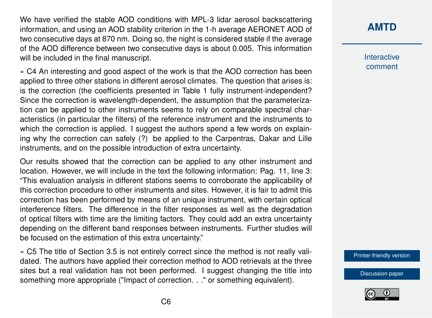We have verified the stable AOD conditions with MPL-3 lidar aerosol backscattering information, and using an AOD stability criterion in the 1-h average AERONET AOD of two consecutive days at 870 nm. Doing so, the night is considered stable if the average of the AOD difference between two consecutive days is about 0.005. This information will be included in the final manuscript.

» C4 An interesting and good aspect of the work is that the AOD correction has been applied to three other stations in different aerosol climates. The question that arises is: is the correction (the coefficients presented in Table 1 fully instrument-independent? Since the correction is wavelength-dependent, the assumption that the parameterization can be applied to other instruments seems to rely on comparable spectral characteristics (in particular the filters) of the reference instrument and the instruments to which the correction is applied. I suggest the authors spend a few words on explaining why the correction can safely (?) be applied to the Carpentras, Dakar and Lille instruments, and on the possible introduction of extra uncertainty.

Our results showed that the correction can be applied to any other instrument and location. However, we will include in the text the following information: Pag. 11, line 3: "This evaluation analysis in different stations seems to corroborate the applicability of this correction procedure to other instruments and sites. However, it is fair to admit this correction has been performed by means of an unique instrument, with certain optical interference filters. The difference in the filter responses as well as the degradation of optical filters with time are the limiting factors. They could add an extra uncertainty depending on the different band responses between instruments. Further studies will be focused on the estimation of this extra uncertainty."

» C5 The title of Section 3.5 is not entirely correct since the method is not really validated. The authors have applied their correction method to AOD retrievals at the three sites but a real validation has not been performed. I suggest changing the title into something more appropriate ("Impact of correction. . ." or something equivalent).

# **[AMTD](http://www.atmos-meas-tech-discuss.net/)**

Interactive comment

[Printer-friendly version](http://www.atmos-meas-tech-discuss.net/amt-2016-423/amt-2016-423-AC2-print.pdf)